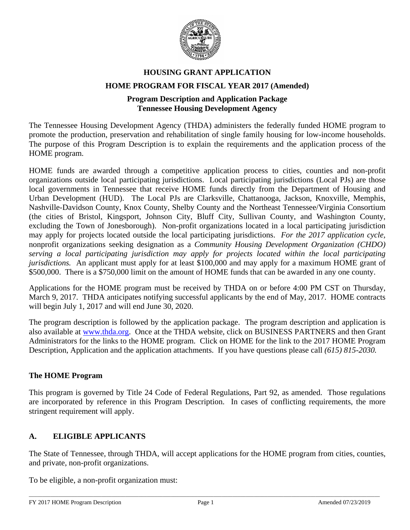

# **HOUSING GRANT APPLICATION HOME PROGRAM FOR FISCAL YEAR 2017 (Amended)**

# **Program Description and Application Package Tennessee Housing Development Agency**

The Tennessee Housing Development Agency (THDA) administers the federally funded HOME program to promote the production, preservation and rehabilitation of single family housing for low-income households. The purpose of this Program Description is to explain the requirements and the application process of the HOME program.

HOME funds are awarded through a competitive application process to cities, counties and non-profit organizations outside local participating jurisdictions. Local participating jurisdictions (Local PJs) are those local governments in Tennessee that receive HOME funds directly from the Department of Housing and Urban Development (HUD). The Local PJs are Clarksville, Chattanooga, Jackson, Knoxville, Memphis, Nashville-Davidson County, Knox County, Shelby County and the Northeast Tennessee/Virginia Consortium (the cities of Bristol, Kingsport, Johnson City, Bluff City, Sullivan County, and Washington County, excluding the Town of Jonesborough). Non-profit organizations located in a local participating jurisdiction may apply for projects located outside the local participating jurisdictions. *For the 2017 application cycle,* nonprofit organizations seeking designation as a *Community Housing Development Organization (CHDO) serving a local participating jurisdiction may apply for projects located within the local participating jurisdictions.* An applicant must apply for at least \$100,000 and may apply for a maximum HOME grant of \$500,000. There is a \$750,000 limit on the amount of HOME funds that can be awarded in any one county.

Applications for the HOME program must be received by THDA on or before 4:00 PM CST on Thursday, March 9, 2017. THDA anticipates notifying successful applicants by the end of May, 2017. HOME contracts will begin July 1, 2017 and will end June 30, 2020.

The program description is followed by the application package. The program description and application is also available at [www.thda.org.](http://www.thda.org/) Once at the THDA website, click on BUSINESS PARTNERS and then Grant Administrators for the links to the HOME program. Click on HOME for the link to the 2017 HOME Program Description, Application and the application attachments. If you have questions please call *(615) 815-2030.*

# **The HOME Program**

This program is governed by Title 24 Code of Federal Regulations, Part 92, as amended. Those regulations are incorporated by reference in this Program Description. In cases of conflicting requirements, the more stringent requirement will apply.

# **A. ELIGIBLE APPLICANTS**

The State of Tennessee, through THDA, will accept applications for the HOME program from cities, counties, and private, non-profit organizations.

To be eligible, a non-profit organization must: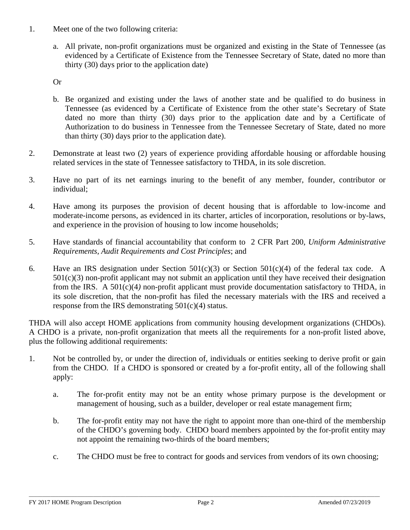- 1. Meet one of the two following criteria:
	- a. All private, non-profit organizations must be organized and existing in the State of Tennessee (as evidenced by a Certificate of Existence from the Tennessee Secretary of State, dated no more than thirty (30) days prior to the application date)

Or

- b. Be organized and existing under the laws of another state and be qualified to do business in Tennessee (as evidenced by a Certificate of Existence from the other state's Secretary of State dated no more than thirty (30) days prior to the application date and by a Certificate of Authorization to do business in Tennessee from the Tennessee Secretary of State, dated no more than thirty (30) days prior to the application date).
- 2. Demonstrate at least two (2) years of experience providing affordable housing or affordable housing related services in the state of Tennessee satisfactory to THDA, in its sole discretion.
- 3. Have no part of its net earnings inuring to the benefit of any member, founder, contributor or individual;
- 4. Have among its purposes the provision of decent housing that is affordable to low-income and moderate-income persons, as evidenced in its charter, articles of incorporation, resolutions or by-laws, and experience in the provision of housing to low income households;
- 5. Have standards of financial accountability that conform to 2 CFR Part 200, *Uniform Administrative Requirements, Audit Requirements and Cost Principles*; and
- 6. Have an IRS designation under Section  $501(c)(3)$  or Section  $501(c)(4)$  of the federal tax code. A  $501(c)(3)$  non-profit applicant may not submit an application until they have received their designation from the IRS. A 501(c)(4*)* non-profit applicant must provide documentation satisfactory to THDA, in its sole discretion, that the non-profit has filed the necessary materials with the IRS and received a response from the IRS demonstrating 501(c)(4) status.

THDA will also accept HOME applications from community housing development organizations (CHDOs). A CHDO is a private, non-profit organization that meets all the requirements for a non-profit listed above, plus the following additional requirements:

- 1. Not be controlled by, or under the direction of, individuals or entities seeking to derive profit or gain from the CHDO. If a CHDO is sponsored or created by a for-profit entity, all of the following shall apply:
	- a. The for-profit entity may not be an entity whose primary purpose is the development or management of housing, such as a builder, developer or real estate management firm;
	- b. The for-profit entity may not have the right to appoint more than one-third of the membership of the CHDO's governing body. CHDO board members appointed by the for-profit entity may not appoint the remaining two-thirds of the board members;
	- c. The CHDO must be free to contract for goods and services from vendors of its own choosing;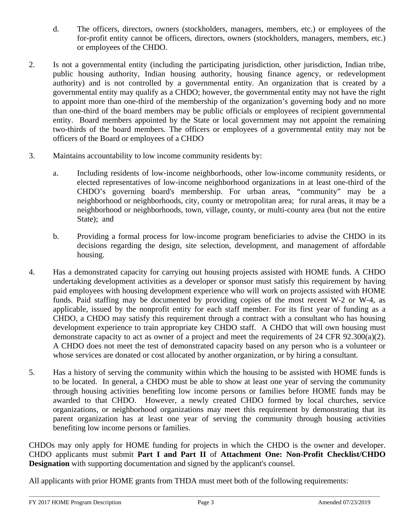- d. The officers, directors, owners (stockholders, managers, members, etc.) or employees of the for-profit entity cannot be officers, directors, owners (stockholders, managers, members, etc.) or employees of the CHDO.
- 2. Is not a governmental entity (including the participating jurisdiction, other jurisdiction, Indian tribe, public housing authority, Indian housing authority, housing finance agency, or redevelopment authority) and is not controlled by a governmental entity. An organization that is created by a governmental entity may qualify as a CHDO; however, the governmental entity may not have the right to appoint more than one-third of the membership of the organization's governing body and no more than one-third of the board members may be public officials or employees of recipient governmental entity. Board members appointed by the State or local government may not appoint the remaining two-thirds of the board members*.* The officers or employees of a governmental entity may not be officers of the Board or employees of a CHDO
- 3. Maintains accountability to low income community residents by:
	- a. Including residents of low-income neighborhoods, other low-income community residents, or elected representatives of low-income neighborhood organizations in at least one-third of the CHDO's governing board's membership. For urban areas, "community" may be a neighborhood or neighborhoods, city, county or metropolitan area; for rural areas, it may be a neighborhood or neighborhoods, town, village, county, or multi-county area (but not the entire State); and
	- b. Providing a formal process for low-income program beneficiaries to advise the CHDO in its decisions regarding the design, site selection, development, and management of affordable housing.
- 4. Has a demonstrated capacity for carrying out housing projects assisted with HOME funds. A CHDO undertaking development activities as a developer or sponsor must satisfy this requirement by having paid employees with housing development experience who will work on projects assisted with HOME funds. Paid staffing may be documented by providing copies of the most recent W-2 or W-4, as applicable, issued by the nonprofit entity for each staff member. For its first year of funding as a CHDO, a CHDO may satisfy this requirement through a contract with a consultant who has housing development experience to train appropriate key CHDO staff. A CHDO that will own housing must demonstrate capacity to act as owner of a project and meet the requirements of 24 CFR 92.300(a)(2). A CHDO does not meet the test of demonstrated capacity based on any person who is a volunteer or whose services are donated or cost allocated by another organization, or by hiring a consultant.
- 5. Has a history of serving the community within which the housing to be assisted with HOME funds is to be located. In general, a CHDO must be able to show at least one year of serving the community through housing activities benefiting low income persons or families before HOME funds may be awarded to that CHDO. However, a newly created CHDO formed by local churches, service organizations, or neighborhood organizations may meet this requirement by demonstrating that its parent organization has at least one year of serving the community through housing activities benefiting low income persons or families.

CHDOs may only apply for HOME funding for projects in which the CHDO is the owner and developer. CHDO applicants must submit **Part I and Part II** of **Attachment One: Non-Profit Checklist/CHDO Designation** with supporting documentation and signed by the applicant's counsel.

All applicants with prior HOME grants from THDA must meet both of the following requirements: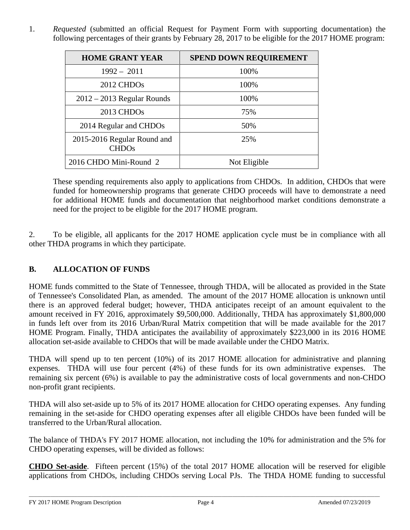1. *Requested* (submitted an official Request for Payment Form with supporting documentation) the following percentages of their grants by February 28, 2017 to be eligible for the 2017 HOME program:

| <b>HOME GRANT YEAR</b>                      | <b>SPEND DOWN REQUIREMENT</b> |
|---------------------------------------------|-------------------------------|
| $1992 - 2011$                               | 100%                          |
| 2012 CHDO <sub>s</sub>                      | 100%                          |
| $2012 - 2013$ Regular Rounds                | 100%                          |
| 2013 CHDO <sub>s</sub>                      | 75%                           |
| 2014 Regular and CHDOs                      | 50%                           |
| 2015-2016 Regular Round and<br><b>CHDOs</b> | 25%                           |
| 2016 CHDO Mini-Round 2                      | Not Eligible                  |

These spending requirements also apply to applications from CHDOs. In addition, CHDOs that were funded for homeownership programs that generate CHDO proceeds will have to demonstrate a need for additional HOME funds and documentation that neighborhood market conditions demonstrate a need for the project to be eligible for the 2017 HOME program.

2. To be eligible, all applicants for the 2017 HOME application cycle must be in compliance with all other THDA programs in which they participate.

# **B. ALLOCATION OF FUNDS**

HOME funds committed to the State of Tennessee, through THDA, will be allocated as provided in the State of Tennessee's Consolidated Plan, as amended. The amount of the 2017 HOME allocation is unknown until there is an approved federal budget; however, THDA anticipates receipt of an amount equivalent to the amount received in FY 2016, approximately \$9,500,000. Additionally, THDA has approximately \$1,800,000 in funds left over from its 2016 Urban/Rural Matrix competition that will be made available for the 2017 HOME Program. Finally, THDA anticipates the availability of approximately \$223,000 in its 2016 HOME allocation set-aside available to CHDOs that will be made available under the CHDO Matrix.

THDA will spend up to ten percent (10%) of its 2017 HOME allocation for administrative and planning expenses. THDA will use four percent (4%) of these funds for its own administrative expenses. The remaining six percent (6%) is available to pay the administrative costs of local governments and non-CHDO non-profit grant recipients.

THDA will also set-aside up to 5% of its 2017 HOME allocation for CHDO operating expenses. Any funding remaining in the set-aside for CHDO operating expenses after all eligible CHDOs have been funded will be transferred to the Urban/Rural allocation.

The balance of THDA's FY 2017 HOME allocation, not including the 10% for administration and the 5% for CHDO operating expenses, will be divided as follows:

**CHDO Set-aside**. Fifteen percent (15%) of the total 2017 HOME allocation will be reserved for eligible applications from CHDOs, including CHDOs serving Local PJs. The THDA HOME funding to successful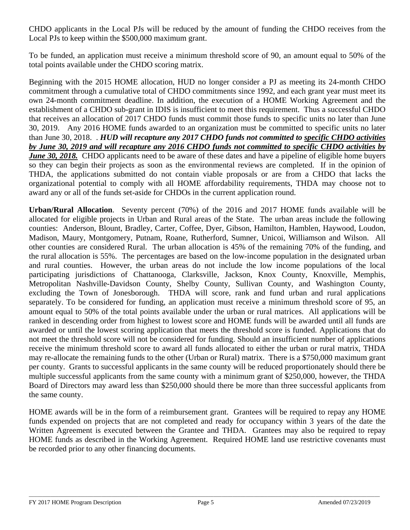CHDO applicants in the Local PJs will be reduced by the amount of funding the CHDO receives from the Local PJs to keep within the \$500,000 maximum grant.

To be funded, an application must receive a minimum threshold score of 90, an amount equal to 50% of the total points available under the CHDO scoring matrix.

Beginning with the 2015 HOME allocation, HUD no longer consider a PJ as meeting its 24-month CHDO commitment through a cumulative total of CHDO commitments since 1992, and each grant year must meet its own 24-month commitment deadline. In addition, the execution of a HOME Working Agreement and the establishment of a CHDO sub-grant in IDIS is insufficient to meet this requirement. Thus a successful CHDO that receives an allocation of 2017 CHDO funds must commit those funds to specific units no later than June 30, 2019. Any 2016 HOME funds awarded to an organization must be committed to specific units no later than June 30, 2018. . *HUD will recapture any 2017 CHDO funds not committed to specific CHDO activities by June 30, 2019 and will recapture any 2016 CHDO funds not committed to specific CHDO activities by June 30, 2018.* CHDO applicants need to be aware of these dates and have a pipeline of eligible home buyers so they can begin their projects as soon as the environmental reviews are completed. If in the opinion of THDA, the applications submitted do not contain viable proposals or are from a CHDO that lacks the organizational potential to comply with all HOME affordability requirements, THDA may choose not to award any or all of the funds set-aside for CHDOs in the current application round.

**Urban/Rural Allocation**. Seventy percent (70%) of the 2016 and 2017 HOME funds available will be allocated for eligible projects in Urban and Rural areas of the State. The urban areas include the following counties: Anderson, Blount, Bradley, Carter, Coffee, Dyer, Gibson, Hamilton, Hamblen, Haywood, Loudon, Madison, Maury, Montgomery, Putnam, Roane, Rutherford, Sumner, Unicoi, Williamson and Wilson. All other counties are considered Rural. The urban allocation is 45% of the remaining 70% of the funding, and the rural allocation is 55%. The percentages are based on the low-income population in the designated urban and rural counties. However, the urban areas do not include the low income populations of the local participating jurisdictions of Chattanooga, Clarksville, Jackson, Knox County, Knoxville, Memphis, Metropolitan Nashville-Davidson County, Shelby County, Sullivan County, and Washington County, excluding the Town of Jonesborough. THDA will score, rank and fund urban and rural applications separately. To be considered for funding, an application must receive a minimum threshold score of 95, an amount equal to 50% of the total points available under the urban or rural matrices. All applications will be ranked in descending order from highest to lowest score and HOME funds will be awarded until all funds are awarded or until the lowest scoring application that meets the threshold score is funded. Applications that do not meet the threshold score will not be considered for funding. Should an insufficient number of applications receive the minimum threshold score to award all funds allocated to either the urban or rural matrix, THDA may re-allocate the remaining funds to the other (Urban or Rural) matrix. There is a \$750,000 maximum grant per county. Grants to successful applicants in the same county will be reduced proportionately should there be multiple successful applicants from the same county with a minimum grant of \$250,000, however, the THDA Board of Directors may award less than \$250,000 should there be more than three successful applicants from the same county.

HOME awards will be in the form of a reimbursement grant. Grantees will be required to repay any HOME funds expended on projects that are not completed and ready for occupancy within 3 years of the date the Written Agreement is executed between the Grantee and THDA. Grantees may also be required to repay HOME funds as described in the Working Agreement. Required HOME land use restrictive covenants must be recorded prior to any other financing documents.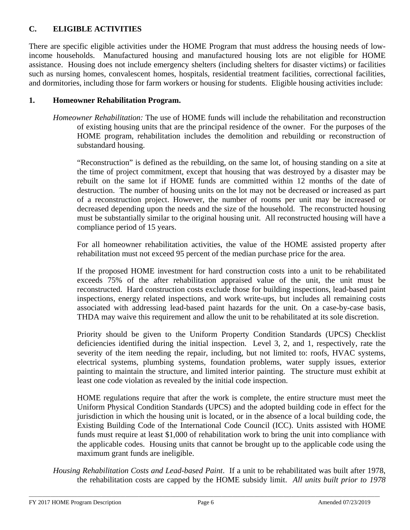# **C. ELIGIBLE ACTIVITIES**

There are specific eligible activities under the HOME Program that must address the housing needs of lowincome households. Manufactured housing and manufactured housing lots are not eligible for HOME assistance. Housing does not include emergency shelters (including shelters for disaster victims) or facilities such as nursing homes, convalescent homes, hospitals, residential treatment facilities, correctional facilities, and dormitories, including those for farm workers or housing for students. Eligible housing activities include:

#### **1. Homeowner Rehabilitation Program.**

*Homeowner Rehabilitation:* The use of HOME funds will include the rehabilitation and reconstruction of existing housing units that are the principal residence of the owner. For the purposes of the HOME program, rehabilitation includes the demolition and rebuilding or reconstruction of substandard housing.

"Reconstruction" is defined as the rebuilding, on the same lot, of housing standing on a site at the time of project commitment, except that housing that was destroyed by a disaster may be rebuilt on the same lot if HOME funds are committed within 12 months of the date of destruction. The number of housing units on the lot may not be decreased or increased as part of a reconstruction project. However, the number of rooms per unit may be increased or decreased depending upon the needs and the size of the household. The reconstructed housing must be substantially similar to the original housing unit. All reconstructed housing will have a compliance period of 15 years.

For all homeowner rehabilitation activities, the value of the HOME assisted property after rehabilitation must not exceed 95 percent of the median purchase price for the area.

If the proposed HOME investment for hard construction costs into a unit to be rehabilitated exceeds 75% of the after rehabilitation appraised value of the unit, the unit must be reconstructed. Hard construction costs exclude those for building inspections, lead-based paint inspections, energy related inspections, and work write-ups, but includes all remaining costs associated with addressing lead-based paint hazards for the unit. On a case-by-case basis, THDA may waive this requirement and allow the unit to be rehabilitated at its sole discretion.

Priority should be given to the Uniform Property Condition Standards (UPCS) Checklist deficiencies identified during the initial inspection. Level 3, 2, and 1, respectively, rate the severity of the item needing the repair, including, but not limited to: roofs, HVAC systems, electrical systems, plumbing systems, foundation problems, water supply issues, exterior painting to maintain the structure, and limited interior painting. The structure must exhibit at least one code violation as revealed by the initial code inspection.

HOME regulations require that after the work is complete, the entire structure must meet the Uniform Physical Condition Standards (UPCS) and the adopted building code in effect for the jurisdiction in which the housing unit is located, or in the absence of a local building code, the Existing Building Code of the International Code Council (ICC). Units assisted with HOME funds must require at least \$1,000 of rehabilitation work to bring the unit into compliance with the applicable codes. Housing units that cannot be brought up to the applicable code using the maximum grant funds are ineligible.

*Housing Rehabilitation Costs and Lead-based Paint*. If a unit to be rehabilitated was built after 1978, the rehabilitation costs are capped by the HOME subsidy limit. *All units built prior to 1978*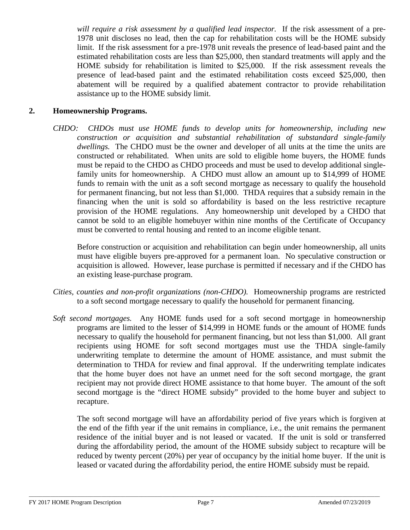*will require a risk assessment by a qualified lead inspector.* If the risk assessment of a pre-1978 unit discloses no lead, then the cap for rehabilitation costs will be the HOME subsidy limit. If the risk assessment for a pre-1978 unit reveals the presence of lead-based paint and the estimated rehabilitation costs are less than \$25,000, then standard treatments will apply and the HOME subsidy for rehabilitation is limited to \$25,000. If the risk assessment reveals the presence of lead-based paint and the estimated rehabilitation costs exceed \$25,000, then abatement will be required by a qualified abatement contractor to provide rehabilitation assistance up to the HOME subsidy limit.

#### **2. Homeownership Programs.**

*CHDO: CHDOs must use HOME funds to develop units for homeownership, including new construction or acquisition and substantial rehabilitation of substandard single-family dwellings.* The CHDO must be the owner and developer of all units at the time the units are constructed or rehabilitated. When units are sold to eligible home buyers, the HOME funds must be repaid to the CHDO as CHDO proceeds and must be used to develop additional singlefamily units for homeownership. A CHDO must allow an amount up to \$14,999 of HOME funds to remain with the unit as a soft second mortgage as necessary to qualify the household for permanent financing, but not less than \$1,000. THDA requires that a subsidy remain in the financing when the unit is sold so affordability is based on the less restrictive recapture provision of the HOME regulations. Any homeownership unit developed by a CHDO that cannot be sold to an eligible homebuyer within nine months of the Certificate of Occupancy must be converted to rental housing and rented to an income eligible tenant.

Before construction or acquisition and rehabilitation can begin under homeownership, all units must have eligible buyers pre-approved for a permanent loan. No speculative construction or acquisition is allowed. However, lease purchase is permitted if necessary and if the CHDO has an existing lease-purchase program.

- *Cities, counties and non-profit organizations (non-CHDO).* Homeownership programs are restricted to a soft second mortgage necessary to qualify the household for permanent financing.
- *Soft second mortgages.* Any HOME funds used for a soft second mortgage in homeownership programs are limited to the lesser of \$14,999 in HOME funds or the amount of HOME funds necessary to qualify the household for permanent financing, but not less than \$1,000. All grant recipients using HOME for soft second mortgages must use the THDA single-family underwriting template to determine the amount of HOME assistance, and must submit the determination to THDA for review and final approval. If the underwriting template indicates that the home buyer does not have an unmet need for the soft second mortgage, the grant recipient may not provide direct HOME assistance to that home buyer. The amount of the soft second mortgage is the "direct HOME subsidy" provided to the home buyer and subject to recapture.

The soft second mortgage will have an affordability period of five years which is forgiven at the end of the fifth year if the unit remains in compliance, i.e., the unit remains the permanent residence of the initial buyer and is not leased or vacated. If the unit is sold or transferred during the affordability period, the amount of the HOME subsidy subject to recapture will be reduced by twenty percent (20%) per year of occupancy by the initial home buyer. If the unit is leased or vacated during the affordability period, the entire HOME subsidy must be repaid.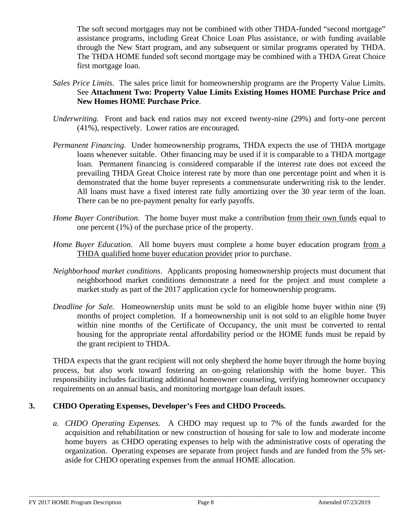The soft second mortgages may not be combined with other THDA-funded "second mortgage" assistance programs, including Great Choice Loan Plus assistance, or with funding available through the New Start program, and any subsequent or similar programs operated by THDA. The THDA HOME funded soft second mortgage may be combined with a THDA Great Choice first mortgage loan.

- *Sales Price Limits.* The sales price limit for homeownership programs are the Property Value Limits. See **Attachment Two: Property Value Limits Existing Homes HOME Purchase Price and New Homes HOME Purchase Price**.
- *Underwriting.* Front and back end ratios may not exceed twenty-nine (29%) and forty-one percent (41%), respectively. Lower ratios are encouraged.
- *Permanent Financing*. Under homeownership programs, THDA expects the use of THDA mortgage loans whenever suitable. Other financing may be used if it is comparable to a THDA mortgage loan. Permanent financing is considered comparable if the interest rate does not exceed the prevailing THDA Great Choice interest rate by more than one percentage point and when it is demonstrated that the home buyer represents a commensurate underwriting risk to the lender. All loans must have a fixed interest rate fully amortizing over the 30 year term of the loan. There can be no pre-payment penalty for early payoffs.
- *Home Buyer Contribution*. The home buyer must make a contribution from their own funds equal to one percent (1%) of the purchase price of the property.
- *Home Buyer Education*. All home buyers must complete a home buyer education program from a THDA qualified home buyer education provider prior to purchase.
- *Neighborhood market conditions*. Applicants proposing homeownership projects must document that neighborhood market conditions demonstrate a need for the project and must complete a market study as part of the 2017 application cycle for homeownership programs.
- *Deadline for Sale.* Homeownership units must be sold to an eligible home buyer within nine (9) months of project completion. If a homeownership unit is not sold to an eligible home buyer within nine months of the Certificate of Occupancy, the unit must be converted to rental housing for the appropriate rental affordability period or the HOME funds must be repaid by the grant recipient to THDA.

THDA expects that the grant recipient will not only shepherd the home buyer through the home buying process, but also work toward fostering an on-going relationship with the home buyer. This responsibility includes facilitating additional homeowner counseling, verifying homeowner occupancy requirements on an annual basis, and monitoring mortgage loan default issues.

#### **3. CHDO Operating Expenses, Developer's Fees and CHDO Proceeds.**

*a. CHDO Operating Expenses.* A CHDO may request up to 7% of the funds awarded for the acquisition and rehabilitation or new construction of housing for sale to low and moderate income home buyers as CHDO operating expenses to help with the administrative costs of operating the organization. Operating expenses are separate from project funds and are funded from the 5% setaside for CHDO operating expenses from the annual HOME allocation.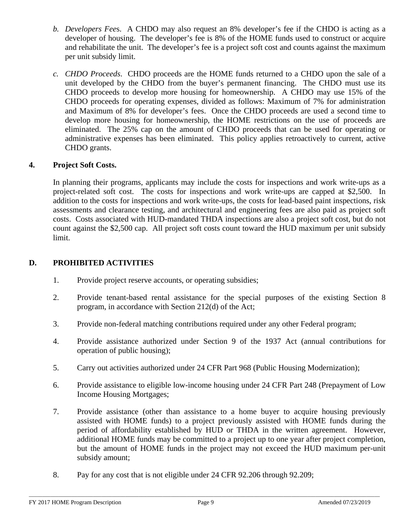- *b. Developers Fee*s. A CHDO may also request an 8% developer's fee if the CHDO is acting as a developer of housing. The developer's fee is 8% of the HOME funds used to construct or acquire and rehabilitate the unit. The developer's fee is a project soft cost and counts against the maximum per unit subsidy limit.
- *c. CHDO Proceeds*. CHDO proceeds are the HOME funds returned to a CHDO upon the sale of a unit developed by the CHDO from the buyer's permanent financing. The CHDO must use its CHDO proceeds to develop more housing for homeownership. A CHDO may use 15% of the CHDO proceeds for operating expenses, divided as follows: Maximum of 7% for administration and Maximum of 8% for developer's fees. Once the CHDO proceeds are used a second time to develop more housing for homeownership, the HOME restrictions on the use of proceeds are eliminated. The 25% cap on the amount of CHDO proceeds that can be used for operating or administrative expenses has been eliminated. This policy applies retroactively to current, active CHDO grants.

### **4. Project Soft Costs.**

In planning their programs, applicants may include the costs for inspections and work write-ups as a project-related soft cost. The costs for inspections and work write-ups are capped at \$2,500. In addition to the costs for inspections and work write-ups, the costs for lead-based paint inspections, risk assessments and clearance testing, and architectural and engineering fees are also paid as project soft costs. Costs associated with HUD-mandated THDA inspections are also a project soft cost, but do not count against the \$2,500 cap. All project soft costs count toward the HUD maximum per unit subsidy limit.

### **D. PROHIBITED ACTIVITIES**

- 1. Provide project reserve accounts, or operating subsidies;
- 2. Provide tenant-based rental assistance for the special purposes of the existing Section 8 program, in accordance with Section 212(d) of the Act;
- 3. Provide non-federal matching contributions required under any other Federal program;
- 4. Provide assistance authorized under Section 9 of the 1937 Act (annual contributions for operation of public housing);
- 5. Carry out activities authorized under 24 CFR Part 968 (Public Housing Modernization);
- 6. Provide assistance to eligible low-income housing under 24 CFR Part 248 (Prepayment of Low Income Housing Mortgages;
- 7. Provide assistance (other than assistance to a home buyer to acquire housing previously assisted with HOME funds) to a project previously assisted with HOME funds during the period of affordability established by HUD or THDA in the written agreement. However, additional HOME funds may be committed to a project up to one year after project completion, but the amount of HOME funds in the project may not exceed the HUD maximum per-unit subsidy amount;
- 8. Pay for any cost that is not eligible under 24 CFR 92.206 through 92.209;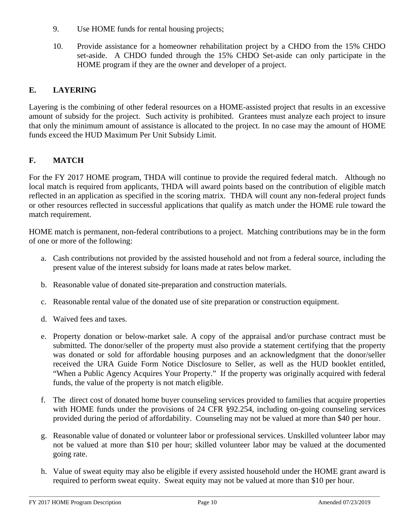- 9. Use HOME funds for rental housing projects;
- 10. Provide assistance for a homeowner rehabilitation project by a CHDO from the 15% CHDO set-aside. A CHDO funded through the 15% CHDO Set-aside can only participate in the HOME program if they are the owner and developer of a project.

# **E. LAYERING**

Layering is the combining of other federal resources on a HOME-assisted project that results in an excessive amount of subsidy for the project. Such activity is prohibited. Grantees must analyze each project to insure that only the minimum amount of assistance is allocated to the project. In no case may the amount of HOME funds exceed the HUD Maximum Per Unit Subsidy Limit.

# **F. MATCH**

For the FY 2017 HOME program, THDA will continue to provide the required federal match. Although no local match is required from applicants, THDA will award points based on the contribution of eligible match reflected in an application as specified in the scoring matrix. THDA will count any non-federal project funds or other resources reflected in successful applications that qualify as match under the HOME rule toward the match requirement.

HOME match is permanent, non-federal contributions to a project. Matching contributions may be in the form of one or more of the following:

- a. Cash contributions not provided by the assisted household and not from a federal source, including the present value of the interest subsidy for loans made at rates below market.
- b. Reasonable value of donated site-preparation and construction materials.
- c. Reasonable rental value of the donated use of site preparation or construction equipment.
- d. Waived fees and taxes.
- e. Property donation or below-market sale. A copy of the appraisal and/or purchase contract must be submitted. The donor/seller of the property must also provide a statement certifying that the property was donated or sold for affordable housing purposes and an acknowledgment that the donor/seller received the URA Guide Form Notice Disclosure to Seller, as well as the HUD booklet entitled, "When a Public Agency Acquires Your Property." If the property was originally acquired with federal funds, the value of the property is not match eligible.
- f. The direct cost of donated home buyer counseling services provided to families that acquire properties with HOME funds under the provisions of 24 CFR §92.254, including on-going counseling services provided during the period of affordability. Counseling may not be valued at more than \$40 per hour.
- g. Reasonable value of donated or volunteer labor or professional services. Unskilled volunteer labor may not be valued at more than \$10 per hour; skilled volunteer labor may be valued at the documented going rate.
- h. Value of sweat equity may also be eligible if every assisted household under the HOME grant award is required to perform sweat equity. Sweat equity may not be valued at more than \$10 per hour.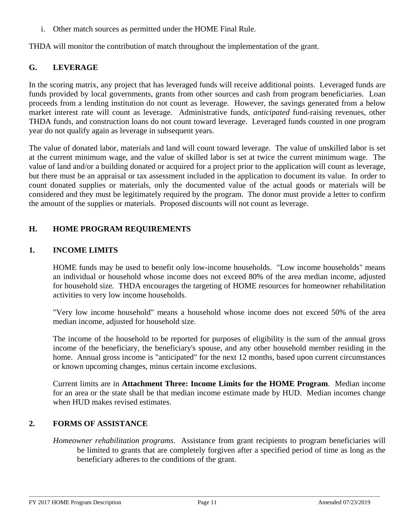i. Other match sources as permitted under the HOME Final Rule.

THDA will monitor the contribution of match throughout the implementation of the grant.

# **G. LEVERAGE**

In the scoring matrix, any project that has leveraged funds will receive additional points. Leveraged funds are funds provided by local governments, grants from other sources and cash from program beneficiaries. Loan proceeds from a lending institution do not count as leverage. However, the savings generated from a below market interest rate will count as leverage. Administrative funds, *anticipated* fund-raising revenues, other THDA funds, and construction loans do not count toward leverage. Leveraged funds counted in one program year do not qualify again as leverage in subsequent years.

The value of donated labor, materials and land will count toward leverage. The value of unskilled labor is set at the current minimum wage, and the value of skilled labor is set at twice the current minimum wage. The value of land and/or a building donated or acquired for a project prior to the application will count as leverage, but there must be an appraisal or tax assessment included in the application to document its value. In order to count donated supplies or materials, only the documented value of the actual goods or materials will be considered and they must be legitimately required by the program. The donor must provide a letter to confirm the amount of the supplies or materials. Proposed discounts will not count as leverage.

### **H. HOME PROGRAM REQUIREMENTS**

#### **1. INCOME LIMITS**

HOME funds may be used to benefit only low-income households. "Low income households" means an individual or household whose income does not exceed 80% of the area median income, adjusted for household size. THDA encourages the targeting of HOME resources for homeowner rehabilitation activities to very low income households.

"Very low income household" means a household whose income does not exceed 50% of the area median income, adjusted for household size.

The income of the household to be reported for purposes of eligibility is the sum of the annual gross income of the beneficiary, the beneficiary's spouse, and any other household member residing in the home. Annual gross income is "anticipated" for the next 12 months, based upon current circumstances or known upcoming changes, minus certain income exclusions.

Current limits are in **Attachment Three: Income Limits for the HOME Program**. Median income for an area or the state shall be that median income estimate made by HUD. Median incomes change when HUD makes revised estimates.

#### **2. FORMS OF ASSISTANCE**

*Homeowner rehabilitation programs*. Assistance from grant recipients to program beneficiaries will be limited to grants that are completely forgiven after a specified period of time as long as the beneficiary adheres to the conditions of the grant.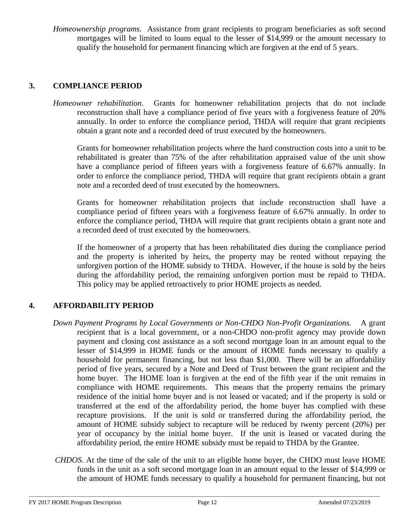*Homeownership programs*. Assistance from grant recipients to program beneficiaries as soft second mortgages will be limited to loans equal to the lesser of \$14,999 or the amount necessary to qualify the household for permanent financing which are forgiven at the end of 5 years.

### **3. COMPLIANCE PERIOD**

*Homeowner rehabilitation*.Grants for homeowner rehabilitation projects that do not include reconstruction shall have a compliance period of five years with a forgiveness feature of 20% annually. In order to enforce the compliance period, THDA will require that grant recipients obtain a grant note and a recorded deed of trust executed by the homeowners.

 Grants for homeowner rehabilitation projects where the hard construction costs into a unit to be rehabilitated is greater than 75% of the after rehabilitation appraised value of the unit show have a compliance period of fifteen years with a forgiveness feature of 6.67% annually. In order to enforce the compliance period, THDA will require that grant recipients obtain a grant note and a recorded deed of trust executed by the homeowners.

Grants for homeowner rehabilitation projects that include reconstruction shall have a compliance period of fifteen years with a forgiveness feature of 6.67% annually. In order to enforce the compliance period, THDA will require that grant recipients obtain a grant note and a recorded deed of trust executed by the homeowners.

If the homeowner of a property that has been rehabilitated dies during the compliance period and the property is inherited by heirs, the property may be rented without repaying the unforgiven portion of the HOME subsidy to THDA. However, if the house is sold by the heirs during the affordability period, the remaining unforgiven portion must be repaid to THDA. This policy may be applied retroactively to prior HOME projects as needed.

# **4. AFFORDABILITY PERIOD**

- *Down Payment Programs by Local Governments or Non-CHDO Non-Profit Organizations.* A grant recipient that is a local government, or a non-CHDO non-profit agency may provide down payment and closing cost assistance as a soft second mortgage loan in an amount equal to the lesser of \$14,999 in HOME funds or the amount of HOME funds necessary to qualify a household for permanent financing, but not less than \$1,000. There will be an affordability period of five years, secured by a Note and Deed of Trust between the grant recipient and the home buyer. The HOME loan is forgiven at the end of the fifth year if the unit remains in compliance with HOME requirements. This means that the property remains the primary residence of the initial home buyer and is not leased or vacated; and if the property is sold or transferred at the end of the affordability period, the home buyer has complied with these recapture provisions. If the unit is sold or transferred during the affordability period, the amount of HOME subsidy subject to recapture will be reduced by twenty percent (20%) per year of occupancy by the initial home buyer. If the unit is leased or vacated during the affordability period, the entire HOME subsidy must be repaid to THDA by the Grantee.
- *CHDOS*. At the time of the sale of the unit to an eligible home buyer, the CHDO must leave HOME funds in the unit as a soft second mortgage loan in an amount equal to the lesser of \$14,999 or the amount of HOME funds necessary to qualify a household for permanent financing, but not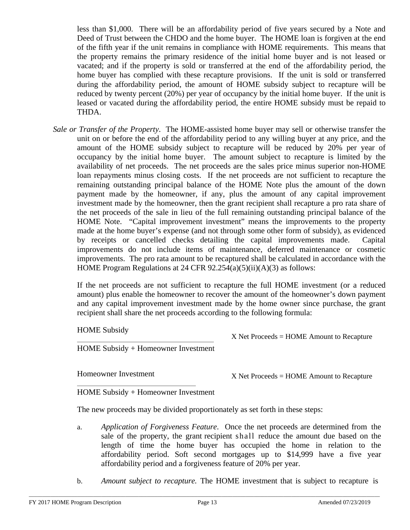less than \$1,000. There will be an affordability period of five years secured by a Note and Deed of Trust between the CHDO and the home buyer. The HOME loan is forgiven at the end of the fifth year if the unit remains in compliance with HOME requirements. This means that the property remains the primary residence of the initial home buyer and is not leased or vacated; and if the property is sold or transferred at the end of the affordability period, the home buyer has complied with these recapture provisions. If the unit is sold or transferred during the affordability period, the amount of HOME subsidy subject to recapture will be reduced by twenty percent (20%) per year of occupancy by the initial home buyer. If the unit is leased or vacated during the affordability period, the entire HOME subsidy must be repaid to THDA.

*Sale or Transfer of the Property*. The HOME-assisted home buyer may sell or otherwise transfer the unit on or before the end of the affordability period to any willing buyer at any price, and the amount of the HOME subsidy subject to recapture will be reduced by 20% per year of occupancy by the initial home buyer. The amount subject to recapture is limited by the availability of net proceeds. The net proceeds are the sales price minus superior non-HOME loan repayments minus closing costs. If the net proceeds are not sufficient to recapture the remaining outstanding principal balance of the HOME Note plus the amount of the down payment made by the homeowner, if any, plus the amount of any capital improvement investment made by the homeowner, then the grant recipient shall recapture a pro rata share of the net proceeds of the sale in lieu of the full remaining outstanding principal balance of the HOME Note. "Capital improvement investment" means the improvements to the property made at the home buyer's expense (and not through some other form of subsidy), as evidenced by receipts or cancelled checks detailing the capital improvements made. Capital improvements do not include items of maintenance, deferred maintenance or cosmetic improvements. The pro rata amount to be recaptured shall be calculated in accordance with the HOME Program Regulations at 24 CFR 92.254(a)(5)(ii)(A)(3) as follows:

If the net proceeds are not sufficient to recapture the full HOME investment (or a reduced amount) plus enable the homeowner to recover the amount of the homeowner's down payment and any capital improvement investment made by the home owner since purchase, the grant recipient shall share the net proceeds according to the following formula:

HOME Subsidy

X Net Proceeds = HOME Amount to Recapture

HOME Subsidy + Homeowner Investment

Homeowner Investment

X Net Proceeds = HOME Amount to Recapture

HOME Subsidy + Homeowner Investment

The new proceeds may be divided proportionately as set forth in these steps:

- a. *Application of Forgiveness Feature*. Once the net proceeds are determined from the sale of the property, the grant recipient shall reduce the amount due based on the length of time the home buyer has occupied the home in relation to the affordability period. Soft second mortgages up to \$14,999 have a five year affordability period and a forgiveness feature of 20% per year.
- b. *Amount subject to recapture.* The HOME investment that is subject to recapture is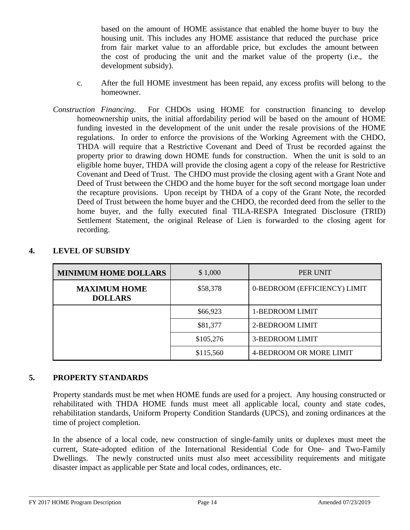based on the amount of HOME assistance that enabled the home buyer to buy the housing unit. This includes any HOME assistance that reduced the purchase price from fair market value to an affordable price, but excludes the amount between the cost of producing the unit and the market value of the property (i.e., the development subsidy).

- c. After the full HOME investment has been repaid, any excess profits will belong to the homeowner.
- *Construction Financing*. For CHDOs using HOME for construction financing to develop homeownership units, the initial affordability period will be based on the amount of HOME funding invested in the development of the unit under the resale provisions of the HOME regulations. In order to enforce the provisions of the Working Agreement with the CHDO, THDA will require that a Restrictive Covenant and Deed of Trust be recorded against the property prior to drawing down HOME funds for construction. When the unit is sold to an eligible home buyer, THDA will provide the closing agent a copy of the release for Restrictive Covenant and Deed of Trust. The CHDO must provide the closing agent with a Grant Note and Deed of Trust between the CHDO and the home buyer for the soft second mortgage loan under the recapture provisions. Upon receipt by THDA of a copy of the Grant Note, the recorded Deed of Trust between the home buyer and the CHDO, the recorded deed from the seller to the home buyer, and the fully executed final TILA-RESPA Integrated Disclosure (TRID) Settlement Statement, the original Release of Lien is forwarded to the closing agent for recording.

| <b>MINIMUM HOME DOLLARS</b>           | \$1,000   | PER UNIT                     |  |
|---------------------------------------|-----------|------------------------------|--|
| <b>MAXIMUM HOME</b><br><b>DOLLARS</b> | \$58,378  | 0-BEDROOM (EFFICIENCY) LIMIT |  |
|                                       | \$66,923  | 1-BEDROOM LIMIT              |  |
|                                       | \$81,377  | 2-BEDROOM LIMIT              |  |
|                                       | \$105,276 | 3-BEDROOM LIMIT              |  |
|                                       | \$115,560 | 4-BEDROOM OR MORE LIMIT      |  |

#### **4. LEVEL OF SUBSIDY**

#### **5. PROPERTY STANDARDS**

Property standards must be met when HOME funds are used for a project. Any housing constructed or rehabilitated with THDA HOME funds must meet all applicable local, county and state codes, rehabilitation standards, Uniform Property Condition Standards (UPCS), and zoning ordinances at the time of project completion.

In the absence of a local code, new construction of single-family units or duplexes must meet the current, State-adopted edition of the International Residential Code for One- and Two-Family Dwellings. The newly constructed units must also meet accessibility requirements and mitigate disaster impact as applicable per State and local codes, ordinances, etc.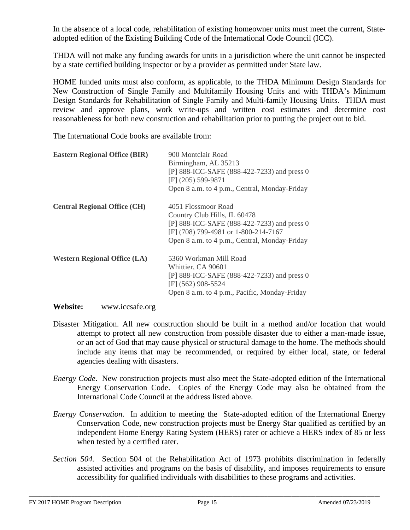In the absence of a local code, rehabilitation of existing homeowner units must meet the current, Stateadopted edition of the Existing Building Code of the International Code Council (ICC).

THDA will not make any funding awards for units in a jurisdiction where the unit cannot be inspected by a state certified building inspector or by a provider as permitted under State law.

HOME funded units must also conform, as applicable, to the THDA Minimum Design Standards for New Construction of Single Family and Multifamily Housing Units and with THDA's Minimum Design Standards for Rehabilitation of Single Family and Multi-family Housing Units. THDA must review and approve plans, work write-ups and written cost estimates and determine cost reasonableness for both new construction and rehabilitation prior to putting the project out to bid.

The International Code books are available from:

| <b>Eastern Regional Office (BIR)</b> | 900 Montclair Road<br>Birmingham, AL 35213<br>[P] 888-ICC-SAFE (888-422-7233) and press 0<br>$[F]$ (205) 599-9871<br>Open 8 a.m. to 4 p.m., Central, Monday-Friday                          |
|--------------------------------------|---------------------------------------------------------------------------------------------------------------------------------------------------------------------------------------------|
| <b>Central Regional Office (CH)</b>  | 4051 Flossmoor Road<br>Country Club Hills, IL 60478<br>[P] 888-ICC-SAFE (888-422-7233) and press 0<br>[F] (708) 799-4981 or 1-800-214-7167<br>Open 8 a.m. to 4 p.m., Central, Monday-Friday |
| <b>Western Regional Office (LA)</b>  | 5360 Workman Mill Road<br>Whittier, CA 90601<br>[P] 888-ICC-SAFE (888-422-7233) and press 0<br>[F] (562) 908-5524<br>Open 8 a.m. to 4 p.m., Pacific, Monday-Friday                          |

#### **Website:** www.iccsafe.org

- Disaster Mitigation. All new construction should be built in a method and/or location that would attempt to protect all new construction from possible disaster due to either a man-made issue, or an act of God that may cause physical or structural damage to the home. The methods should include any items that may be recommended, or required by either local, state, or federal agencies dealing with disasters.
- *Energy Code*. New construction projects must also meet the State-adopted edition of the International Energy Conservation Code. Copies of the Energy Code may also be obtained from the International Code Council at the address listed above.
- *Energy Conservation.* In addition to meeting the State-adopted edition of the International Energy Conservation Code, new construction projects must be Energy Star qualified as certified by an independent Home Energy Rating System (HERS) rater or achieve a HERS index of 85 or less when tested by a certified rater.
- *Section 504.* Section 504 of the Rehabilitation Act of 1973 prohibits discrimination in federally assisted activities and programs on the basis of disability, and imposes requirements to ensure accessibility for qualified individuals with disabilities to these programs and activities.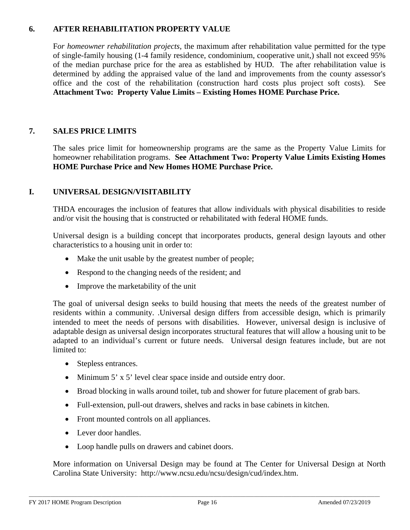### **6. AFTER REHABILITATION PROPERTY VALUE**

F*or homeowner rehabilitation projects*, the maximum after rehabilitation value permitted for the type of single-family housing (1-4 family residence, condominium, cooperative unit,) shall not exceed 95% of the median purchase price for the area as established by HUD. The after rehabilitation value is determined by adding the appraised value of the land and improvements from the county assessor's office and the cost of the rehabilitation (construction hard costs plus project soft costs). See **Attachment Two: Property Value Limits – Existing Homes HOME Purchase Price.**

# **7. SALES PRICE LIMITS**

The sales price limit for homeownership programs are the same as the Property Value Limits for homeowner rehabilitation programs. **See Attachment Two: Property Value Limits Existing Homes HOME Purchase Price and New Homes HOME Purchase Price.** 

#### **I. UNIVERSAL DESIGN/VISITABILITY**

THDA encourages the inclusion of features that allow individuals with physical disabilities to reside and/or visit the housing that is constructed or rehabilitated with federal HOME funds.

Universal design is a building concept that incorporates products, general design layouts and other characteristics to a housing unit in order to:

- Make the unit usable by the greatest number of people;
- Respond to the changing needs of the resident; and
- Improve the marketability of the unit

The goal of universal design seeks to build housing that meets the needs of the greatest number of residents within a community. .Universal design differs from accessible design, which is primarily intended to meet the needs of persons with disabilities. However, universal design is inclusive of adaptable design as universal design incorporates structural features that will allow a housing unit to be adapted to an individual's current or future needs. Universal design features include, but are not limited to:

- Stepless entrances.
- Minimum 5' x 5' level clear space inside and outside entry door.
- Broad blocking in walls around toilet, tub and shower for future placement of grab bars.
- Full-extension, pull-out drawers, shelves and racks in base cabinets in kitchen.
- Front mounted controls on all appliances.
- Lever door handles.
- Loop handle pulls on drawers and cabinet doors.

More information on Universal Design may be found at The Center for Universal Design at North Carolina State University: [http://www.ncsu.edu/ncsu/design/cud/index.htm.](http://www.ncsu.edu/ncsu/design/cud/index.htm)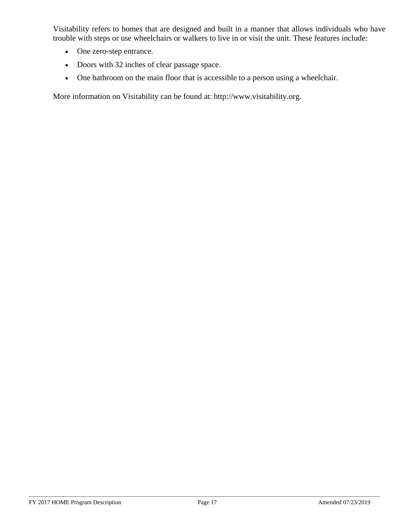Visitability refers to homes that are designed and built in a manner that allows individuals who have trouble with steps or use wheelchairs or walkers to live in or visit the unit. These features include:

- One zero-step entrance.
- Doors with 32 inches of clear passage space.
- One bathroom on the main floor that is accessible to a person using a wheelchair.

More information on Visitability can be found at: [http://www.visitability.org.](http://www.visitability.org/)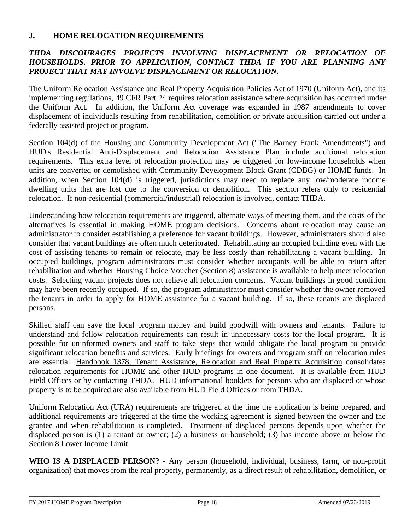#### **J. HOME RELOCATION REQUIREMENTS**

#### *THDA DISCOURAGES PROJECTS INVOLVING DISPLACEMENT OR RELOCATION OF HOUSEHOLDS. PRIOR TO APPLICATION, CONTACT THDA IF YOU ARE PLANNING ANY PROJECT THAT MAY INVOLVE DISPLACEMENT OR RELOCATION.*

The Uniform Relocation Assistance and Real Property Acquisition Policies Act of 1970 (Uniform Act), and its implementing regulations, 49 CFR Part 24 requires relocation assistance where acquisition has occurred under the Uniform Act. In addition, the Uniform Act coverage was expanded in 1987 amendments to cover displacement of individuals resulting from rehabilitation, demolition or private acquisition carried out under a federally assisted project or program.

Section 104(d) of the Housing and Community Development Act ("The Barney Frank Amendments") and HUD's Residential Anti-Displacement and Relocation Assistance Plan include additional relocation requirements. This extra level of relocation protection may be triggered for low-income households when units are converted or demolished with Community Development Block Grant (CDBG) or HOME funds. In addition, when Section 104(d) is triggered, jurisdictions may need to replace any low/moderate income dwelling units that are lost due to the conversion or demolition. This section refers only to residential relocation. If non-residential (commercial/industrial) relocation is involved, contact THDA.

Understanding how relocation requirements are triggered, alternate ways of meeting them, and the costs of the alternatives is essential in making HOME program decisions. Concerns about relocation may cause an administrator to consider establishing a preference for vacant buildings. However, administrators should also consider that vacant buildings are often much deteriorated. Rehabilitating an occupied building even with the cost of assisting tenants to remain or relocate, may be less costly than rehabilitating a vacant building. In occupied buildings, program administrators must consider whether occupants will be able to return after rehabilitation and whether Housing Choice Voucher (Section 8) assistance is available to help meet relocation costs. Selecting vacant projects does not relieve all relocation concerns. Vacant buildings in good condition may have been recently occupied. If so, the program administrator must consider whether the owner removed the tenants in order to apply for HOME assistance for a vacant building. If so, these tenants are displaced persons.

Skilled staff can save the local program money and build goodwill with owners and tenants. Failure to understand and follow relocation requirements can result in unnecessary costs for the local program. It is possible for uninformed owners and staff to take steps that would obligate the local program to provide significant relocation benefits and services. Early briefings for owners and program staff on relocation rules are essential. Handbook 1378, Tenant Assistance, Relocation and Real Property Acquisition consolidates relocation requirements for HOME and other HUD programs in one document. It is available from HUD Field Offices or by contacting THDA. HUD informational booklets for persons who are displaced or whose property is to be acquired are also available from HUD Field Offices or from THDA.

Uniform Relocation Act (URA) requirements are triggered at the time the application is being prepared, and additional requirements are triggered at the time the working agreement is signed between the owner and the grantee and when rehabilitation is completed. Treatment of displaced persons depends upon whether the displaced person is (1) a tenant or owner; (2) a business or household; (3) has income above or below the Section 8 Lower Income Limit.

**WHO IS A DISPLACED PERSON? -** Any person (household, individual, business, farm, or non-profit organization) that moves from the real property, permanently, as a direct result of rehabilitation, demolition, or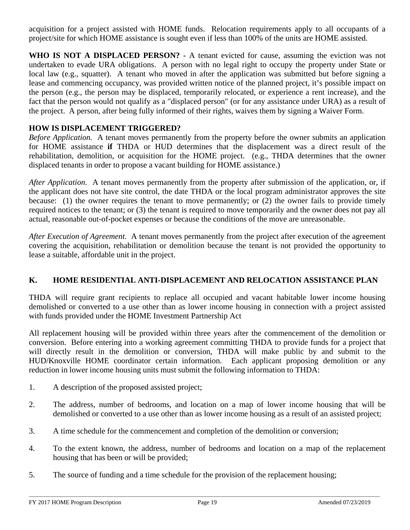acquisition for a project assisted with HOME funds. Relocation requirements apply to all occupants of a project/site for which HOME assistance is sought even if less than 100% of the units are HOME assisted.

**WHO IS NOT A DISPLACED PERSON?** - A tenant evicted for cause, assuming the eviction was not undertaken to evade URA obligations. A person with no legal right to occupy the property under State or local law (e.g., squatter). A tenant who moved in after the application was submitted but before signing a lease and commencing occupancy, was provided written notice of the planned project, it's possible impact on the person (e.g., the person may be displaced, temporarily relocated, or experience a rent increase), and the fact that the person would not qualify as a "displaced person" (or for any assistance under URA) as a result of the project. A person, after being fully informed of their rights, waives them by signing a Waiver Form.

### **HOW IS DISPLACEMENT TRIGGERED?**

*Before Application.* A tenant moves permanently from the property before the owner submits an application for HOME assistance **if** THDA or HUD determines that the displacement was a direct result of the rehabilitation, demolition, or acquisition for the HOME project. (e.g., THDA determines that the owner displaced tenants in order to propose a vacant building for HOME assistance.)

*After Application.* A tenant moves permanently from the property after submission of the application, or, if the applicant does not have site control, the date THDA or the local program administrator approves the site because: (1) the owner requires the tenant to move permanently; or (2) the owner fails to provide timely required notices to the tenant; or (3) the tenant is required to move temporarily and the owner does not pay all actual, reasonable out-of-pocket expenses or because the conditions of the move are unreasonable.

*After Execution of Agreement.* A tenant moves permanently from the project after execution of the agreement covering the acquisition, rehabilitation or demolition because the tenant is not provided the opportunity to lease a suitable, affordable unit in the project.

#### **K. HOME RESIDENTIAL ANTI-DISPLACEMENT AND RELOCATION ASSISTANCE PLAN**

THDA will require grant recipients to replace all occupied and vacant habitable lower income housing demolished or converted to a use other than as lower income housing in connection with a project assisted with funds provided under the HOME Investment Partnership Act

All replacement housing will be provided within three years after the commencement of the demolition or conversion. Before entering into a working agreement committing THDA to provide funds for a project that will directly result in the demolition or conversion, THDA will make public by and submit to the HUD/Knoxville HOME coordinator certain information. Each applicant proposing demolition or any reduction in lower income housing units must submit the following information to THDA:

- 1. A description of the proposed assisted project;
- 2. The address, number of bedrooms, and location on a map of lower income housing that will be demolished or converted to a use other than as lower income housing as a result of an assisted project;
- 3. A time schedule for the commencement and completion of the demolition or conversion;
- 4. To the extent known, the address, number of bedrooms and location on a map of the replacement housing that has been or will be provided;
- 5. The source of funding and a time schedule for the provision of the replacement housing;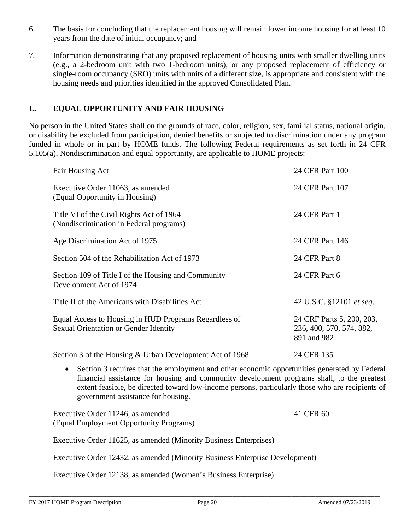- 6. The basis for concluding that the replacement housing will remain lower income housing for at least 10 years from the date of initial occupancy; and
- 7. Information demonstrating that any proposed replacement of housing units with smaller dwelling units (e.g., a 2-bedroom unit with two 1-bedroom units), or any proposed replacement of efficiency or single-room occupancy (SRO) units with units of a different size, is appropriate and consistent with the housing needs and priorities identified in the approved Consolidated Plan.

### **L. EQUAL OPPORTUNITY AND FAIR HOUSING**

No person in the United States shall on the grounds of race, color, religion, sex, familial status, national origin, or disability be excluded from participation, denied benefits or subjected to discrimination under any program funded in whole or in part by HOME funds. The following Federal requirements as set forth in 24 CFR 5.105(a), Nondiscrimination and equal opportunity, are applicable to HOME projects:

| Fair Housing Act                                                                               | 24 CFR Part 100                                                      |
|------------------------------------------------------------------------------------------------|----------------------------------------------------------------------|
| Executive Order 11063, as amended<br>(Equal Opportunity in Housing)                            | 24 CFR Part 107                                                      |
| Title VI of the Civil Rights Act of 1964<br>(Nondiscrimination in Federal programs)            | 24 CFR Part 1                                                        |
| Age Discrimination Act of 1975                                                                 | 24 CFR Part 146                                                      |
| Section 504 of the Rehabilitation Act of 1973                                                  | 24 CFR Part 8                                                        |
| Section 109 of Title I of the Housing and Community<br>Development Act of 1974                 | 24 CFR Part 6                                                        |
| Title II of the Americans with Disabilities Act                                                | 42 U.S.C. §12101 et seq.                                             |
| Equal Access to Housing in HUD Programs Regardless of<br>Sexual Orientation or Gender Identity | 24 CRF Parts 5, 200, 203,<br>236, 400, 570, 574, 882,<br>891 and 982 |
| Section 3 of the Housing & Urban Development Act of 1968                                       | 24 CFR 135                                                           |
|                                                                                                |                                                                      |

• Section 3 requires that the employment and other economic opportunities generated by Federal financial assistance for housing and community development programs shall, to the greatest extent feasible, be directed toward low-income persons, particularly those who are recipients of government assistance for housing.

| Executive Order 11246, as amended       | 41 CFR 60 |
|-----------------------------------------|-----------|
| (Equal Employment Opportunity Programs) |           |

Executive Order 11625, as amended (Minority Business Enterprises)

Executive Order 12432, as amended (Minority Business Enterprise Development)

Executive Order 12138, as amended (Women's Business Enterprise)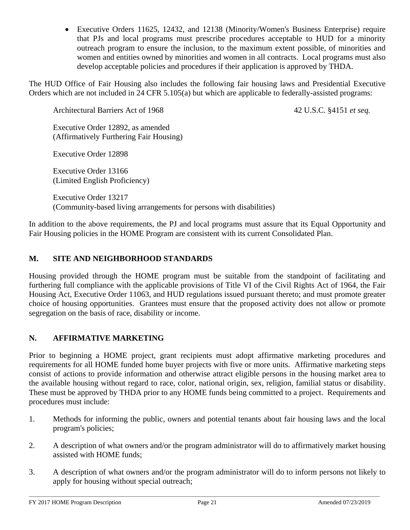• Executive Orders 11625, 12432, and 12138 (Minority/Women's Business Enterprise) require that PJs and local programs must prescribe procedures acceptable to HUD for a minority outreach program to ensure the inclusion, to the maximum extent possible, of minorities and women and entities owned by minorities and women in all contracts. Local programs must also develop acceptable policies and procedures if their application is approved by THDA.

The HUD Office of Fair Housing also includes the following fair housing laws and Presidential Executive Orders which are not included in 24 CFR 5.105(a) but which are applicable to federally-assisted programs:

Architectural Barriers Act of 1968 42 U.S.C. §4151 *et seq.* 

Executive Order 12892, as amended (Affirmatively Furthering Fair Housing)

Executive Order 12898

Executive Order 13166 (Limited English Proficiency)

Executive Order 13217 (Community-based living arrangements for persons with disabilities)

In addition to the above requirements, the PJ and local programs must assure that its Equal Opportunity and Fair Housing policies in the HOME Program are consistent with its current Consolidated Plan.

### **M. SITE AND NEIGHBORHOOD STANDARDS**

Housing provided through the HOME program must be suitable from the standpoint of facilitating and furthering full compliance with the applicable provisions of Title VI of the Civil Rights Act of 1964, the Fair Housing Act, Executive Order 11063, and HUD regulations issued pursuant thereto; and must promote greater choice of housing opportunities. Grantees must ensure that the proposed activity does not allow or promote segregation on the basis of race, disability or income.

# **N. AFFIRMATIVE MARKETING**

Prior to beginning a HOME project, grant recipients must adopt affirmative marketing procedures and requirements for all HOME funded home buyer projects with five or more units. Affirmative marketing steps consist of actions to provide information and otherwise attract eligible persons in the housing market area to the available housing without regard to race, color, national origin, sex, religion, familial status or disability. These must be approved by THDA prior to any HOME funds being committed to a project. Requirements and procedures must include:

- 1. Methods for informing the public, owners and potential tenants about fair housing laws and the local program's policies;
- 2. A description of what owners and/or the program administrator will do to affirmatively market housing assisted with HOME funds;
- 3. A description of what owners and/or the program administrator will do to inform persons not likely to apply for housing without special outreach;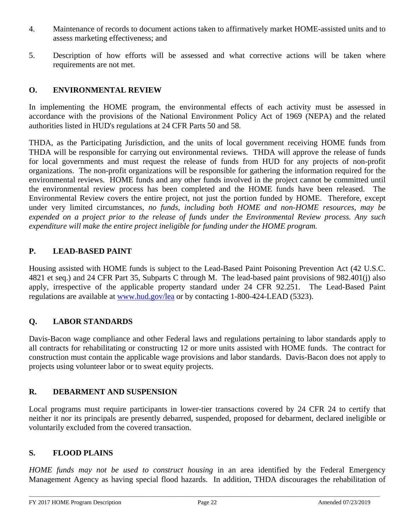- 4. Maintenance of records to document actions taken to affirmatively market HOME-assisted units and to assess marketing effectiveness; and
- 5. Description of how efforts will be assessed and what corrective actions will be taken where requirements are not met.

### **O. ENVIRONMENTAL REVIEW**

In implementing the HOME program, the environmental effects of each activity must be assessed in accordance with the provisions of the National Environment Policy Act of 1969 (NEPA) and the related authorities listed in HUD's regulations at 24 CFR Parts 50 and 58.

THDA, as the Participating Jurisdiction, and the units of local government receiving HOME funds from THDA will be responsible for carrying out environmental reviews. THDA will approve the release of funds for local governments and must request the release of funds from HUD for any projects of non-profit organizations. The non-profit organizations will be responsible for gathering the information required for the environmental reviews. HOME funds and any other funds involved in the project cannot be committed until the environmental review process has been completed and the HOME funds have been released. The Environmental Review covers the entire project, not just the portion funded by HOME. Therefore, except under very limited circumstances, *no funds, including both HOME and non-HOME resources, may be expended on a project prior to the release of funds under the Environmental Review process. Any such expenditure will make the entire project ineligible for funding under the HOME program.*

#### **P. LEAD-BASED PAINT**

Housing assisted with HOME funds is subject to the Lead-Based Paint Poisoning Prevention Act (42 U.S.C. 4821 et seq.) and 24 CFR Part 35, Subparts C through M. The lead-based paint provisions of 982.401(j) also apply, irrespective of the applicable property standard under 24 CFR 92.251. The Lead-Based Paint regulations are available at [www.hud.gov/lea](http://www.hud.gov/lea) or by contacting 1-800-424-LEAD (5323).

#### **Q. LABOR STANDARDS**

Davis-Bacon wage compliance and other Federal laws and regulations pertaining to labor standards apply to all contracts for rehabilitating or constructing 12 or more units assisted with HOME funds. The contract for construction must contain the applicable wage provisions and labor standards. Davis-Bacon does not apply to projects using volunteer labor or to sweat equity projects.

#### **R. DEBARMENT AND SUSPENSION**

Local programs must require participants in lower-tier transactions covered by 24 CFR 24 to certify that neither it nor its principals are presently debarred, suspended, proposed for debarment, declared ineligible or voluntarily excluded from the covered transaction.

#### **S. FLOOD PLAINS**

*HOME funds may not be used to construct housing* in an area identified by the Federal Emergency Management Agency as having special flood hazards. In addition, THDA discourages the rehabilitation of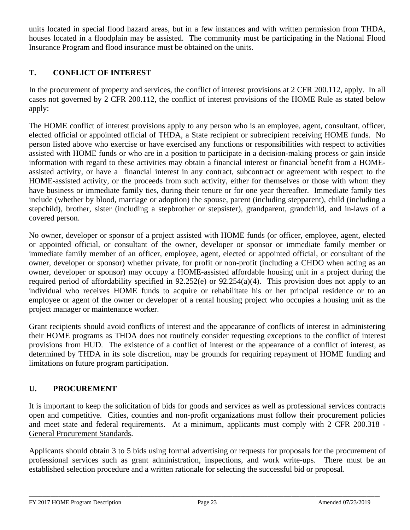units located in special flood hazard areas, but in a few instances and with written permission from THDA, houses located in a floodplain may be assisted. The community must be participating in the National Flood Insurance Program and flood insurance must be obtained on the units.

# **T. CONFLICT OF INTEREST**

In the procurement of property and services, the conflict of interest provisions at 2 CFR 200.112, apply. In all cases not governed by 2 CFR 200.112, the conflict of interest provisions of the HOME Rule as stated below apply:

The HOME conflict of interest provisions apply to any person who is an employee, agent, consultant, officer, elected official or appointed official of THDA, a State recipient or subrecipient receiving HOME funds. No person listed above who exercise or have exercised any functions or responsibilities with respect to activities assisted with HOME funds or who are in a position to participate in a decision-making process or gain inside information with regard to these activities may obtain a financial interest or financial benefit from a HOMEassisted activity, or have a financial interest in any contract, subcontract or agreement with respect to the HOME-assisted activity, or the proceeds from such activity, either for themselves or those with whom they have business or immediate family ties, during their tenure or for one year thereafter. Immediate family ties include (whether by blood, marriage or adoption) the spouse, parent (including stepparent), child (including a stepchild), brother, sister (including a stepbrother or stepsister), grandparent, grandchild, and in-laws of a covered person.

No owner, developer or sponsor of a project assisted with HOME funds (or officer, employee, agent, elected or appointed official, or consultant of the owner, developer or sponsor or immediate family member or immediate family member of an officer, employee, agent, elected or appointed official, or consultant of the owner, developer or sponsor) whether private, for profit or non-profit (including a CHDO when acting as an owner, developer or sponsor) may occupy a HOME-assisted affordable housing unit in a project during the required period of affordability specified in  $92.252(e)$  or  $92.254(a)(4)$ . This provision does not apply to an individual who receives HOME funds to acquire or rehabilitate his or her principal residence or to an employee or agent of the owner or developer of a rental housing project who occupies a housing unit as the project manager or maintenance worker.

Grant recipients should avoid conflicts of interest and the appearance of conflicts of interest in administering their HOME programs as THDA does not routinely consider requesting exceptions to the conflict of interest provisions from HUD. The existence of a conflict of interest or the appearance of a conflict of interest, as determined by THDA in its sole discretion, may be grounds for requiring repayment of HOME funding and limitations on future program participation.

# **U. PROCUREMENT**

It is important to keep the solicitation of bids for goods and services as well as professional services contracts open and competitive. Cities, counties and non-profit organizations must follow their procurement policies and meet state and federal requirements. At a minimum, applicants must comply with 2 CFR 200.318 - General Procurement Standards.

Applicants should obtain 3 to 5 bids using formal advertising or requests for proposals for the procurement of professional services such as grant administration, inspections, and work write-ups. There must be an established selection procedure and a written rationale for selecting the successful bid or proposal.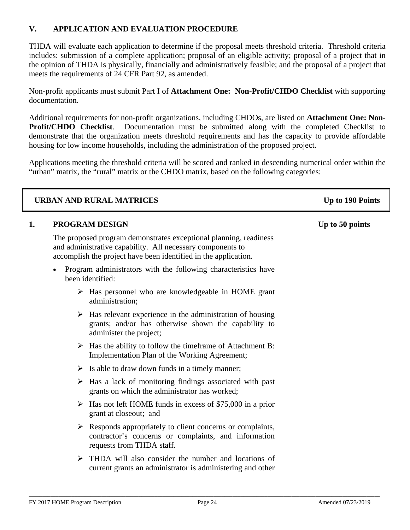### **V. APPLICATION AND EVALUATION PROCEDURE**

THDA will evaluate each application to determine if the proposal meets threshold criteria. Threshold criteria includes: submission of a complete application; proposal of an eligible activity; proposal of a project that in the opinion of THDA is physically, financially and administratively feasible; and the proposal of a project that meets the requirements of 24 CFR Part 92, as amended.

Non-profit applicants must submit Part I of **Attachment One: Non-Profit/CHDO Checklist** with supporting documentation.

Additional requirements for non-profit organizations, including CHDOs, are listed on **Attachment One: Non-Profit/CHDO Checklist**. Documentation must be submitted along with the completed Checklist to demonstrate that the organization meets threshold requirements and has the capacity to provide affordable housing for low income households, including the administration of the proposed project.

Applications meeting the threshold criteria will be scored and ranked in descending numerical order within the "urban" matrix, the "rural" matrix or the CHDO matrix, based on the following categories:

| <b>URBAN AND RURAL MATRICES</b> |                                                                                                                                                                                                    | Up to 190 Points |
|---------------------------------|----------------------------------------------------------------------------------------------------------------------------------------------------------------------------------------------------|------------------|
| 1.                              | <b>PROGRAM DESIGN</b>                                                                                                                                                                              | Up to 50 points  |
|                                 | The proposed program demonstrates exceptional planning, readiness<br>and administrative capability. All necessary components to<br>accomplish the project have been identified in the application. |                  |
|                                 | Program administrators with the following characteristics have<br>$\bullet$<br>been identified:                                                                                                    |                  |
|                                 | $\triangleright$ Has personnel who are knowledgeable in HOME grant<br>administration;                                                                                                              |                  |
|                                 | $\triangleright$ Has relevant experience in the administration of housing<br>grants; and/or has otherwise shown the capability to<br>administer the project;                                       |                  |
|                                 | $\triangleright$ Has the ability to follow the time frame of Attachment B:<br>Implementation Plan of the Working Agreement;                                                                        |                  |
|                                 | $\triangleright$ Is able to draw down funds in a timely manner;                                                                                                                                    |                  |
|                                 | $\triangleright$ Has a lack of monitoring findings associated with past<br>grants on which the administrator has worked;                                                                           |                  |
|                                 | Has not left HOME funds in excess of \$75,000 in a prior<br>➤<br>grant at closeout; and                                                                                                            |                  |
|                                 | Responds appropriately to client concerns or complaints,<br>➤<br>contractor's concerns or complaints, and information<br>requests from THDA staff.                                                 |                  |
|                                 | $\triangleright$ THDA will also consider the number and locations of<br>current grants an administrator is administering and other                                                                 |                  |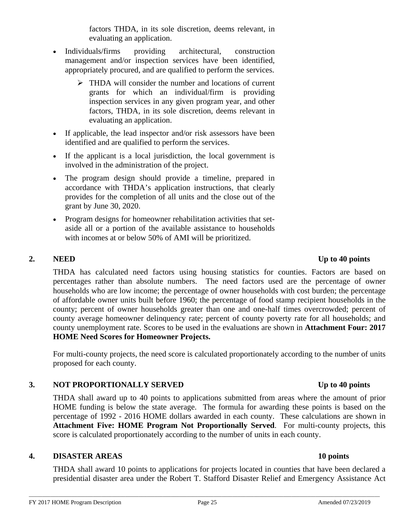factors THDA, in its sole discretion, deems relevant, in evaluating an application.

- Individuals/firms providing architectural, construction management and/or inspection services have been identified, appropriately procured, and are qualified to perform the services.
	- $\triangleright$  THDA will consider the number and locations of current grants for which an individual/firm is providing inspection services in any given program year, and other factors, THDA, in its sole discretion, deems relevant in evaluating an application.
- If applicable, the lead inspector and/or risk assessors have been identified and are qualified to perform the services.
- If the applicant is a local jurisdiction, the local government is involved in the administration of the project.
- The program design should provide a timeline, prepared in accordance with THDA's application instructions, that clearly provides for the completion of all units and the close out of the grant by June 30, 2020.
- Program designs for homeowner rehabilitation activities that setaside all or a portion of the available assistance to households with incomes at or below 50% of AMI will be prioritized.

#### THDA has calculated need factors using housing statistics for counties. Factors are based on percentages rather than absolute numbers. The need factors used are the percentage of owner households who are low income; the percentage of owner households with cost burden; the percentage of affordable owner units built before 1960; the percentage of food stamp recipient households in the county; percent of owner households greater than one and one-half times overcrowded; percent of county average homeowner delinquency rate; percent of county poverty rate for all households; and county unemployment rate. Scores to be used in the evaluations are shown in **Attachment Four: 2017 HOME Need Scores for Homeowner Projects.**

For multi-county projects, the need score is calculated proportionately according to the number of units proposed for each county.

# **3. NOT PROPORTIONALLY SERVED Up to 40 points**

THDA shall award up to 40 points to applications submitted from areas where the amount of prior HOME funding is below the state average. The formula for awarding these points is based on the percentage of 1992 - 2016 HOME dollars awarded in each county. These calculations are shown in **Attachment Five: HOME Program Not Proportionally Served**. For multi-county projects, this score is calculated proportionately according to the number of units in each county.

# **4. DISASTER AREAS 10 points**

THDA shall award 10 points to applications for projects located in counties that have been declared a presidential disaster area under the Robert T. Stafford Disaster Relief and Emergency Assistance Act

# \_\_\_\_\_\_\_\_\_\_\_\_\_\_\_\_\_\_\_\_\_\_\_\_\_\_\_\_\_\_\_\_\_\_\_\_\_\_\_\_\_\_\_\_\_\_\_\_\_\_\_\_\_\_\_\_\_\_\_\_\_\_\_\_\_\_\_\_\_\_\_\_\_\_\_\_\_\_\_\_\_\_\_\_\_\_\_\_\_\_\_\_\_\_\_\_\_\_\_\_\_\_\_\_\_\_\_\_\_\_\_\_\_\_\_\_\_\_\_\_\_\_\_\_\_\_\_\_\_\_\_

# **2. NEED Up to 40 points**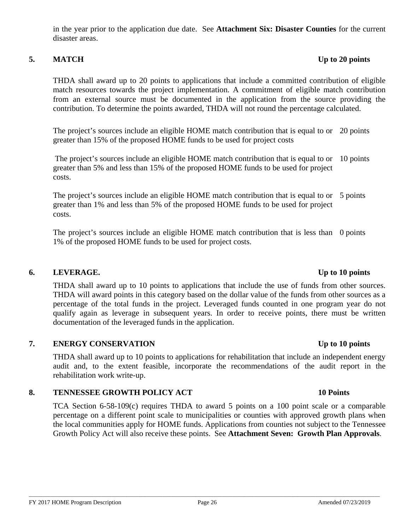in the year prior to the application due date. See **Attachment Six: Disaster Counties** for the current disaster areas.

### **5. MATCH Up to 20 points**

THDA shall award up to 20 points to applications that include a committed contribution of eligible match resources towards the project implementation. A commitment of eligible match contribution from an external source must be documented in the application from the source providing the contribution. To determine the points awarded, THDA will not round the percentage calculated.

The project's sources include an eligible HOME match contribution that is equal to or 20 points greater than 15% of the proposed HOME funds to be used for project costs

The project's sources include an eligible HOME match contribution that is equal to or greater than 5% and less than 15% of the proposed HOME funds to be used for project costs. 10 points

The project's sources include an eligible HOME match contribution that is equal to or 5 points greater than 1% and less than 5% of the proposed HOME funds to be used for project costs.

The project's sources include an eligible HOME match contribution that is less than 0 points 1% of the proposed HOME funds to be used for project costs.

#### **6. LEVERAGE. Up to 10 points**

THDA shall award up to 10 points to applications that include the use of funds from other sources. THDA will award points in this category based on the dollar value of the funds from other sources as a percentage of the total funds in the project. Leveraged funds counted in one program year do not qualify again as leverage in subsequent years. In order to receive points, there must be written documentation of the leveraged funds in the application.

#### **7. ENERGY CONSERVATION Up to 10 points**

THDA shall award up to 10 points to applications for rehabilitation that include an independent energy audit and, to the extent feasible, incorporate the recommendations of the audit report in the rehabilitation work write-up.

#### **8. TENNESSEE GROWTH POLICY ACT 10 Points**

TCA Section 6-58-109(c) requires THDA to award 5 points on a 100 point scale or a comparable percentage on a different point scale to municipalities or counties with approved growth plans when the local communities apply for HOME funds. Applications from counties not subject to the Tennessee Growth Policy Act will also receive these points. See **Attachment Seven: Growth Plan Approvals**.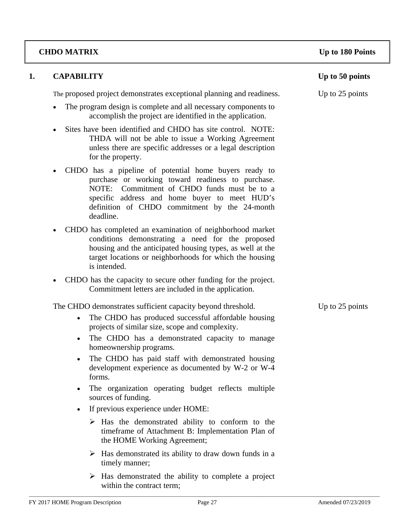# **CHDO MATRIX Up to 180 Points**

| 1. | <b>CAPABILITY</b>                                                                                                                                                                                                                                                                                                                                                                                                                                                                                                                                                                                                                                                                                                                                                                                                                                                                     | Up to 50 points |
|----|---------------------------------------------------------------------------------------------------------------------------------------------------------------------------------------------------------------------------------------------------------------------------------------------------------------------------------------------------------------------------------------------------------------------------------------------------------------------------------------------------------------------------------------------------------------------------------------------------------------------------------------------------------------------------------------------------------------------------------------------------------------------------------------------------------------------------------------------------------------------------------------|-----------------|
|    | The proposed project demonstrates exceptional planning and readiness.                                                                                                                                                                                                                                                                                                                                                                                                                                                                                                                                                                                                                                                                                                                                                                                                                 | Up to 25 points |
|    | The program design is complete and all necessary components to<br>accomplish the project are identified in the application.                                                                                                                                                                                                                                                                                                                                                                                                                                                                                                                                                                                                                                                                                                                                                           |                 |
|    | Sites have been identified and CHDO has site control. NOTE:<br>THDA will not be able to issue a Working Agreement<br>unless there are specific addresses or a legal description<br>for the property.                                                                                                                                                                                                                                                                                                                                                                                                                                                                                                                                                                                                                                                                                  |                 |
|    | CHDO has a pipeline of potential home buyers ready to<br>purchase or working toward readiness to purchase.<br>NOTE: Commitment of CHDO funds must be to a<br>specific address and home buyer to meet HUD's<br>definition of CHDO commitment by the 24-month<br>deadline.                                                                                                                                                                                                                                                                                                                                                                                                                                                                                                                                                                                                              |                 |
|    | CHDO has completed an examination of neighborhood market<br>conditions demonstrating a need for the proposed<br>housing and the anticipated housing types, as well at the<br>target locations or neighborhoods for which the housing<br>is intended.                                                                                                                                                                                                                                                                                                                                                                                                                                                                                                                                                                                                                                  |                 |
|    | CHDO has the capacity to secure other funding for the project.<br>$\bullet$<br>Commitment letters are included in the application.                                                                                                                                                                                                                                                                                                                                                                                                                                                                                                                                                                                                                                                                                                                                                    |                 |
|    | The CHDO demonstrates sufficient capacity beyond threshold.<br>The CHDO has produced successful affordable housing<br>$\bullet$<br>projects of similar size, scope and complexity.<br>The CHDO has a demonstrated capacity to manage<br>$\bullet$<br>homeownership programs.<br>The CHDO has paid staff with demonstrated housing<br>$\bullet$<br>development experience as documented by W-2 or W-4<br>forms.<br>The organization operating budget reflects multiple<br>$\bullet$<br>sources of funding.<br>If previous experience under HOME:<br>$\bullet$<br>$\triangleright$ Has the demonstrated ability to conform to the<br>timeframe of Attachment B: Implementation Plan of<br>the HOME Working Agreement;<br>$\triangleright$ Has demonstrated its ability to draw down funds in a<br>timely manner;<br>$\triangleright$ Has demonstrated the ability to complete a project | Up to 25 points |
|    | within the contract term;                                                                                                                                                                                                                                                                                                                                                                                                                                                                                                                                                                                                                                                                                                                                                                                                                                                             |                 |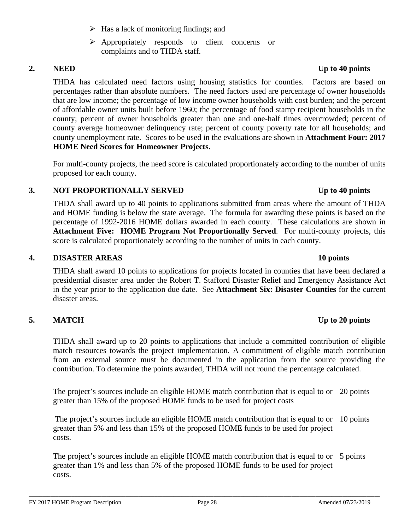FY 2017 HOME Program Description Page 28 Amended 07/23/2019

#### $\triangleright$  Has a lack of monitoring findings; and

 $\triangleright$  Appropriately responds to client concerns or complaints and to THDA staff.

THDA has calculated need factors using housing statistics for counties. Factors are based on percentages rather than absolute numbers. The need factors used are percentage of owner households that are low income; the percentage of low income owner households with cost burden; and the percent of affordable owner units built before 1960; the percentage of food stamp recipient households in the county; percent of owner households greater than one and one-half times overcrowded; percent of county average homeowner delinquency rate; percent of county poverty rate for all households; and county unemployment rate. Scores to be used in the evaluations are shown in **Attachment Four: 2017 HOME Need Scores for Homeowner Projects.**

For multi-county projects, the need score is calculated proportionately according to the number of units proposed for each county.

#### **3. NOT PROPORTIONALLY SERVED Up to 40 points**

THDA shall award up to 40 points to applications submitted from areas where the amount of THDA and HOME funding is below the state average. The formula for awarding these points is based on the percentage of 1992-2016 HOME dollars awarded in each county. These calculations are shown in **Attachment Five: HOME Program Not Proportionally Served**. For multi-county projects, this score is calculated proportionately according to the number of units in each county.

### **4. DISASTER AREAS 10 points**

THDA shall award 10 points to applications for projects located in counties that have been declared a presidential disaster area under the Robert T. Stafford Disaster Relief and Emergency Assistance Act in the year prior to the application due date. See **Attachment Six: Disaster Counties** for the current disaster areas.

# **5. MATCH Up to 20 points**

THDA shall award up to 20 points to applications that include a committed contribution of eligible match resources towards the project implementation. A commitment of eligible match contribution from an external source must be documented in the application from the source providing the contribution. To determine the points awarded, THDA will not round the percentage calculated.

The project's sources include an eligible HOME match contribution that is equal to or 20 points greater than 15% of the proposed HOME funds to be used for project costs

The project's sources include an eligible HOME match contribution that is equal to or 10 points greater than 5% and less than 15% of the proposed HOME funds to be used for project costs.

The project's sources include an eligible HOME match contribution that is equal to or 5 points greater than 1% and less than 5% of the proposed HOME funds to be used for project costs.

# **2. NEED Up to 40 points**